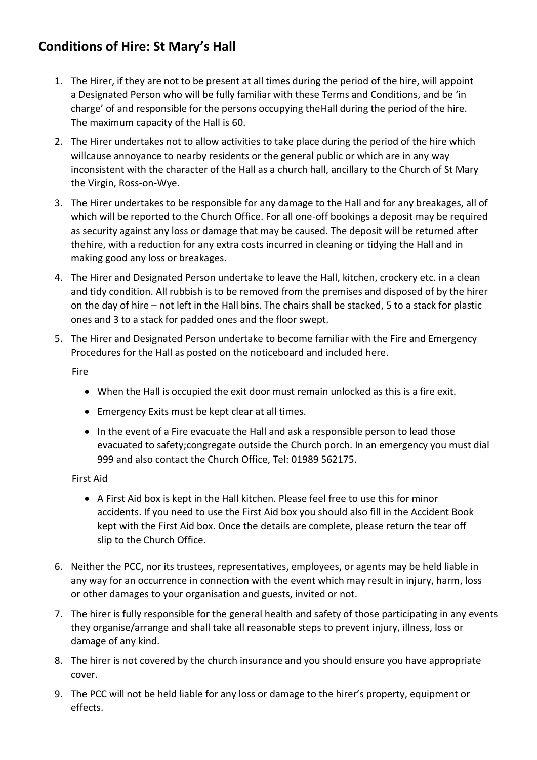## **Conditions of Hire: St Mary's Hall**

- 1. The Hirer, if they are not to be present at all times during the period of the hire, will appoint a Designated Person who will be fully familiar with these Terms and Conditions, and be 'in charge' of and responsible for the persons occupying theHall during the period of the hire. The maximum capacity of the Hall is 60.
- 2. The Hirer undertakes not to allow activities to take place during the period of the hire which willcause annoyance to nearby residents or the general public or which are in any way inconsistent with the character of the Hall as a church hall, ancillary to the Church of St Mary the Virgin, Ross-on-Wye.
- 3. The Hirer undertakes to be responsible for any damage to the Hall and for any breakages, all of which will be reported to the Church Office. For all one-off bookings a deposit may be required as security against any loss or damage that may be caused. The deposit will be returned after thehire, with a reduction for any extra costs incurred in cleaning or tidying the Hall and in making good any loss or breakages.
- 4. The Hirer and Designated Person undertake to leave the Hall, kitchen, crockery etc. in a clean and tidy condition. All rubbish is to be removed from the premises and disposed of by the hirer on the day of hire – not left in the Hall bins. The chairs shall be stacked, 5 to a stack for plastic ones and 3 to a stack for padded ones and the floor swept.
- 5. The Hirer and Designated Person undertake to become familiar with the Fire and Emergency Procedures for the Hall as posted on the noticeboard and included here.

**Fire** 

- When the Hall is occupied the exit door must remain unlocked as this is a fire exit.
- Emergency Exits must be kept clear at all times.
- In the event of a Fire evacuate the Hall and ask a responsible person to lead those evacuated to safety;congregate outside the Church porch. In an emergency you must dial 999 and also contact the Church Office, Tel: 01989 562175.

First Aid

- A First Aid box is kept in the Hall kitchen. Please feel free to use this for minor accidents. If you need to use the First Aid box you should also fill in the Accident Book kept with the First Aid box. Once the details are complete, please return the tear off slip to the Church Office.
- 6. Neither the PCC, nor its trustees, representatives, employees, or agents may be held liable in any way for an occurrence in connection with the event which may result in injury, harm, loss or other damages to your organisation and guests, invited or not.
- 7. The hirer is fully responsible for the general health and safety of those participating in any events they organise/arrange and shall take all reasonable steps to prevent injury, illness, loss or damage of any kind.
- 8. The hirer is not covered by the church insurance and you should ensure you have appropriate cover.
- 9. The PCC will not be held liable for any loss or damage to the hirer's property, equipment or effects.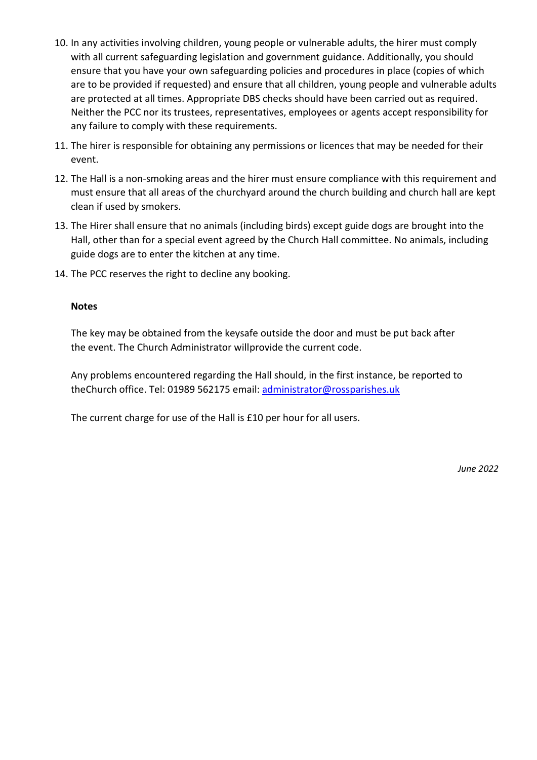- 10. In any activities involving children, young people or vulnerable adults, the hirer must comply with all current safeguarding legislation and government guidance. Additionally, you should ensure that you have your own safeguarding policies and procedures in place (copies of which are to be provided if requested) and ensure that all children, young people and vulnerable adults are protected at all times. Appropriate DBS checks should have been carried out as required. Neither the PCC nor its trustees, representatives, employees or agents accept responsibility for any failure to comply with these requirements.
- 11. The hirer is responsible for obtaining any permissions or licences that may be needed for their event.
- 12. The Hall is a non-smoking areas and the hirer must ensure compliance with this requirement and must ensure that all areas of the churchyard around the church building and church hall are kept clean if used by smokers.
- 13. The Hirer shall ensure that no animals (including birds) except guide dogs are brought into the Hall, other than for a special event agreed by the Church Hall committee. No animals, including guide dogs are to enter the kitchen at any time.
- 14. The PCC reserves the right to decline any booking.

## **Notes**

The key may be obtained from the keysafe outside the door and must be put back after the event. The Church Administrator willprovide the current code.

Any problems encountered regarding the Hall should, in the first instance, be reported to theChurch office. Tel: 01989 562175 email: [administrator@rossparishes.uk](mailto:administrator@rossparishes.uk)

The current charge for use of the Hall is £10 per hour for all users.

*June 2022*